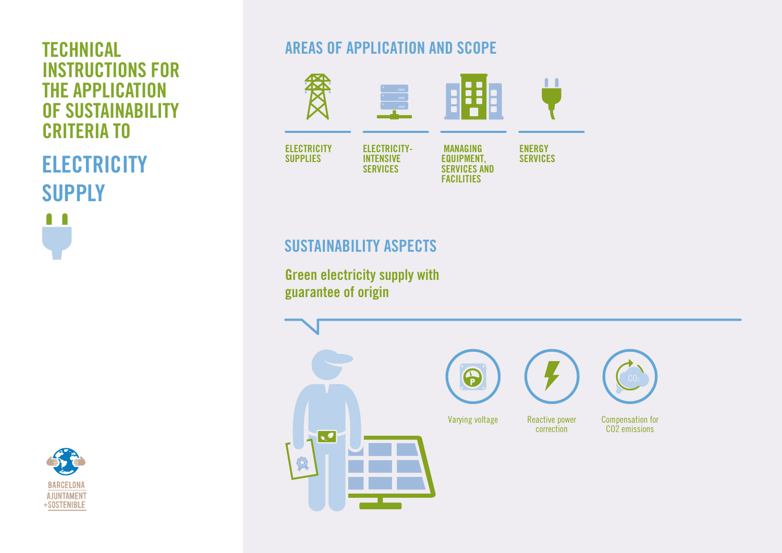## INSTRUCTIONS FOR THE APPLICATION OF SUSTAINABILITY CRITERIA TO

**ELECTRICITY SUPPLY** Ω  $\blacksquare$ 



## **TECHNICAL AREAS OF APPLICATION AND SCOPE**



## SUSTAINABILITY ASPECTS

Green electricity supply with guarantee of origin

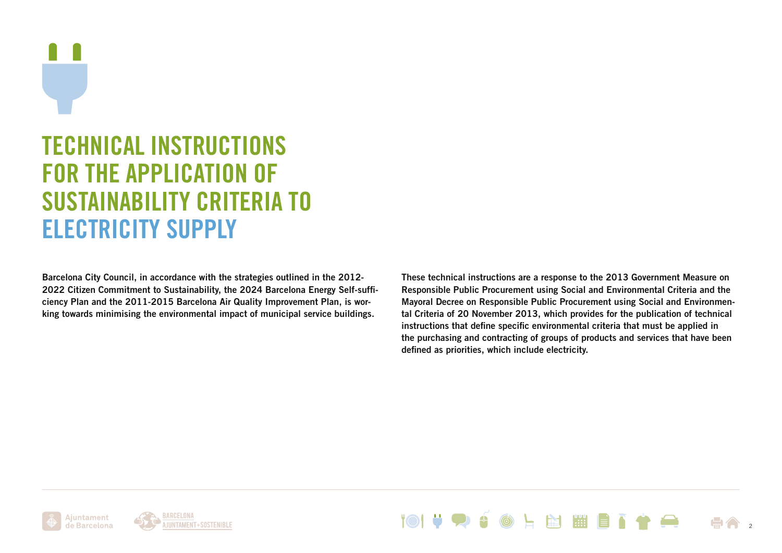# TECHNICAL INSTRUCTIONS FOR THE APPLICATION OF SUSTAINABILITY CRITERIA TO ELECTRICITY SUPPLY

Barcelona City Council, in accordance with the strategies outlined in the 2012- 2022 Citizen Commitment to Sustainability, the 2024 Barcelona Energy Self-sufficiency Plan and the 2011-2015 Barcelona Air Quality Improvement Plan, is working towards minimising the environmental impact of municipal service buildings.

These technical instructions are a response to the 2013 Government Measure on Responsible Public Procurement using Social and Environmental Criteria and the Mayoral Decree on Responsible Public Procurement using Social and Environmental Criteria of 20 November 2013, which provides for the publication of technical instructions that define specific environmental criteria that must be applied in the purchasing and contracting of groups of products and services that have been defined as priorities, which include electricity.





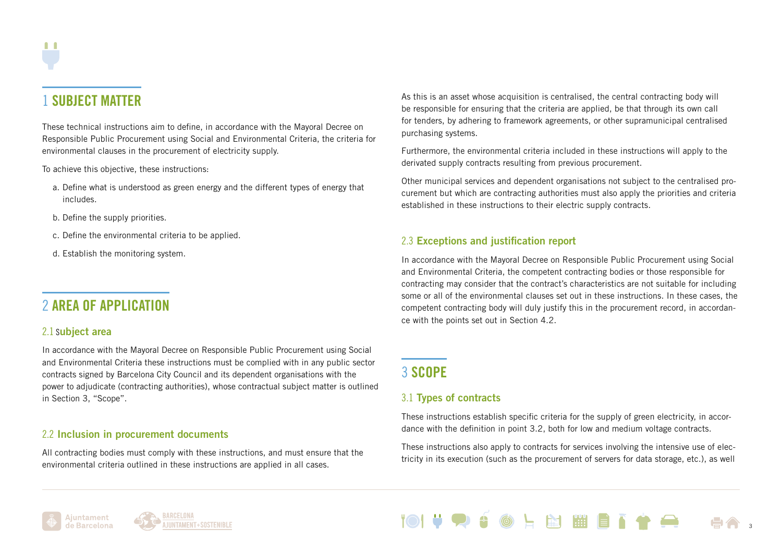## 1 SUBJECT MATTER

These technical instructions aim to define, in accordance with the Mayoral Decree on Responsible Public Procurement using Social and Environmental Criteria, the criteria for environmental clauses in the procurement of electricity supply.

To achieve this objective, these instructions:

- a. Define what is understood as green energy and the different types of energy that includes.
- b. Define the supply priorities.
- c. Define the environmental criteria to be applied.
- d. Establish the monitoring system.

## 2 AREA OF APPLICATION

#### 2.1 Subject area

In accordance with the Mayoral Decree on Responsible Public Procurement using Social and Environmental Criteria these instructions must be complied with in any public sector contracts signed by Barcelona City Council and its dependent organisations with the power to adjudicate (contracting authorities), whose contractual subject matter is outlined in Section 3, "Scope".

#### 2.2 Inclusion in procurement documents

All contracting bodies must comply with these instructions, and must ensure that the environmental criteria outlined in these instructions are applied in all cases.

As this is an asset whose acquisition is centralised, the central contracting body will be responsible for ensuring that the criteria are applied, be that through its own call for tenders, by adhering to framework agreements, or other supramunicipal centralised purchasing systems.

Furthermore, the environmental criteria included in these instructions will apply to the derivated supply contracts resulting from previous procurement.

Other municipal services and dependent organisations not subject to the centralised procurement but which are contracting authorities must also apply the priorities and criteria established in these instructions to their electric supply contracts.

#### 2.3 Exceptions and justification report

In accordance with the Mayoral Decree on Responsible Public Procurement using Social and Environmental Criteria, the competent contracting bodies or those responsible for contracting may consider that the contract's characteristics are not suitable for including some or all of the environmental clauses set out in these instructions. In these cases, the competent contracting body will duly justify this in the procurement record, in accordance with the points set out in Section 4.2.

## 3 SCOPE

#### 3.1 Types of contracts

These instructions establish specific criteria for the supply of green electricity, in accordance with the definition in point 3.2, both for low and medium voltage contracts.

These instructions also apply to contracts for services involving the intensive use of electricity in its execution (such as the procurement of servers for data storage, etc.), as well



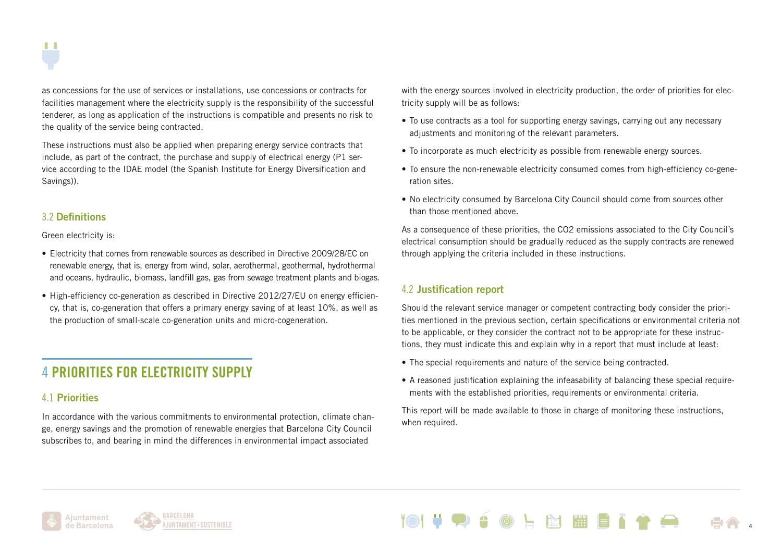

as concessions for the use of services or installations, use concessions or contracts for facilities management where the electricity supply is the responsibility of the successful tenderer, as long as application of the instructions is compatible and presents no risk to the quality of the service being contracted.

These instructions must also be applied when preparing energy service contracts that include, as part of the contract, the purchase and supply of electrical energy (P1 service according to the IDAE model (the Spanish Institute for Energy Diversification and Savings)).

#### 3.2 Definitions

Green electricity is:

- Electricity that comes from renewable sources as described in Directive 2009/28/EC on renewable energy, that is, energy from wind, solar, aerothermal, geothermal, hydrothermal and oceans, hydraulic, biomass, landfill gas, gas from sewage treatment plants and biogas.
- High-efficiency co-generation as described in Directive 2012/27/EU on energy efficiency, that is, co-generation that offers a primary energy saving of at least 10%, as well as the production of small-scale co-generation units and micro-cogeneration.

## 4 PRIORITIES FOR ELECTRICITY SUPPLY

#### 4.1 Priorities

In accordance with the various commitments to environmental protection, climate change, energy savings and the promotion of renewable energies that Barcelona City Council subscribes to, and bearing in mind the differences in environmental impact associated

with the energy sources involved in electricity production, the order of priorities for electricity supply will be as follows:

- To use contracts as a tool for supporting energy savings, carrying out any necessary adjustments and monitoring of the relevant parameters.
- To incorporate as much electricity as possible from renewable energy sources.
- To ensure the non-renewable electricity consumed comes from high-efficiency co-generation sites.
- No electricity consumed by Barcelona City Council should come from sources other than those mentioned above.

As a consequence of these priorities, the CO2 emissions associated to the City Council's electrical consumption should be gradually reduced as the supply contracts are renewed through applying the criteria included in these instructions.

#### 4.2 Justification report

Should the relevant service manager or competent contracting body consider the priorities mentioned in the previous section, certain specifications or environmental criteria not to be applicable, or they consider the contract not to be appropriate for these instructions, they must indicate this and explain why in a report that must include at least:

- The special requirements and nature of the service being contracted.
- A reasoned justification explaining the infeasability of balancing these special requirements with the established priorities, requirements or environmental criteria.

This report will be made available to those in charge of monitoring these instructions, when required.

N WEN

4



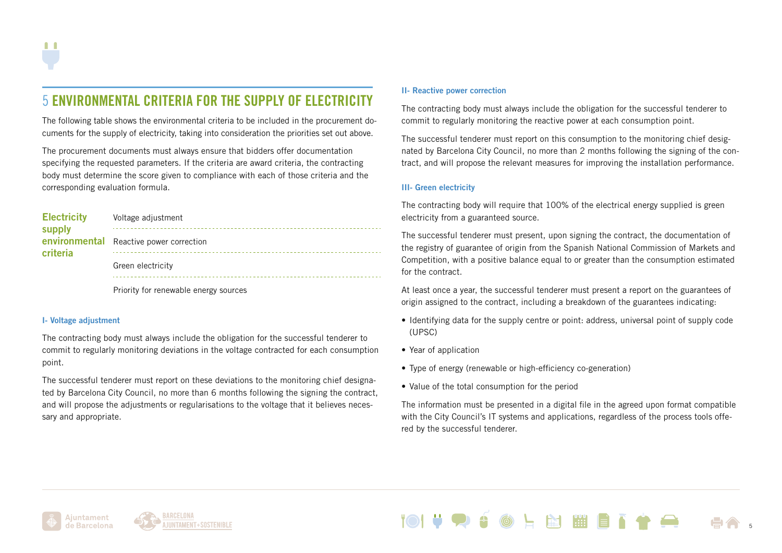## 5 ENVIRONMENTAL CRITERIA FOR THE SUPPLY OF ELECTRICITY

The following table shows the environmental criteria to be included in the procurement documents for the supply of electricity, taking into consideration the priorities set out above.

The procurement documents must always ensure that bidders offer documentation specifying the requested parameters. If the criteria are award criteria, the contracting body must determine the score given to compliance with each of those criteria and the corresponding evaluation formula.

| <b>Electricity</b><br>supply | Voltage adjustment                      |
|------------------------------|-----------------------------------------|
| criteria                     | environmental Reactive power correction |
|                              | Green electricity                       |
|                              |                                         |

Priority for renewable energy sources

#### I- Voltage adjustment

The contracting body must always include the obligation for the successful tenderer to commit to regularly monitoring deviations in the voltage contracted for each consumption point.

The successful tenderer must report on these deviations to the monitoring chief designated by Barcelona City Council, no more than 6 months following the signing the contract, and will propose the adjustments or regularisations to the voltage that it believes necessary and appropriate.

#### II- Reactive power correction

The contracting body must always include the obligation for the successful tenderer to commit to regularly monitoring the reactive power at each consumption point.

The successful tenderer must report on this consumption to the monitoring chief designated by Barcelona City Council, no more than 2 months following the signing of the contract, and will propose the relevant measures for improving the installation performance.

#### III- Green electricity

The contracting body will require that 100% of the electrical energy supplied is green electricity from a guaranteed source.

The successful tenderer must present, upon signing the contract, the documentation of the registry of guarantee of origin from the Spanish National Commission of Markets and Competition, with a positive balance equal to or greater than the consumption estimated for the contract.

At least once a year, the successful tenderer must present a report on the guarantees of origin assigned to the contract, including a breakdown of the guarantees indicating:

- Identifying data for the supply centre or point: address, universal point of supply code (UPSC)
- Year of application
- Type of energy (renewable or high-efficiency co-generation)
- Value of the total consumption for the period

The information must be presented in a digital file in the agreed upon format compatible with the City Council's IT systems and applications, regardless of the process tools offered by the successful tenderer.

**Ed 1999** 

5



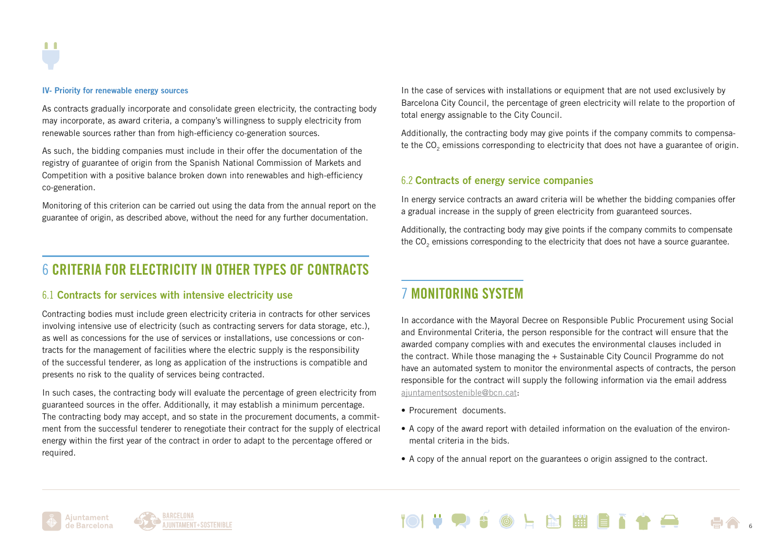#### IV- Priority for renewable energy sources

As contracts gradually incorporate and consolidate green electricity, the contracting body may incorporate, as award criteria, a company's willingness to supply electricity from renewable sources rather than from high-efficiency co-generation sources.

As such, the bidding companies must include in their offer the documentation of the registry of guarantee of origin from the Spanish National Commission of Markets and Competition with a positive balance broken down into renewables and high-efficiency co-generation.

Monitoring of this criterion can be carried out using the data from the annual report on the guarantee of origin, as described above, without the need for any further documentation.

## 6 CRITERIA FOR ELECTRICITY IN OTHER TYPES OF CONTRACTS

#### 6.1 Contracts for services with intensive electricity use

Contracting bodies must include green electricity criteria in contracts for other services involving intensive use of electricity (such as contracting servers for data storage, etc.), as well as concessions for the use of services or installations, use concessions or contracts for the management of facilities where the electric supply is the responsibility of the successful tenderer, as long as application of the instructions is compatible and presents no risk to the quality of services being contracted.

In such cases, the contracting body will evaluate the percentage of green electricity from guaranteed sources in the offer. Additionally, it may establish a minimum percentage. The contracting body may accept, and so state in the procurement documents, a commitment from the successful tenderer to renegotiate their contract for the supply of electrical energy within the first year of the contract in order to adapt to the percentage offered or required.

In the case of services with installations or equipment that are not used exclusively by Barcelona City Council, the percentage of green electricity will relate to the proportion of total energy assignable to the City Council.

Additionally, the contracting body may give points if the company commits to compensate the CO<sub>2</sub> emissions corresponding to electricity that does not have a guarantee of origin.

#### 6.2 Contracts of energy service companies

In energy service contracts an award criteria will be whether the bidding companies offer a gradual increase in the supply of green electricity from guaranteed sources.

Additionally, the contracting body may give points if the company commits to compensate the CO<sub>2</sub> emissions corresponding to the electricity that does not have a source guarantee.

### 7 MONITORING SYSTEM

In accordance with the Mayoral Decree on Responsible Public Procurement using Social and Environmental Criteria, the person responsible for the contract will ensure that the awarded company complies with and executes the environmental clauses included in the contract. While those managing the + Sustainable City Council Programme do not have an automated system to monitor the environmental aspects of contracts, the person responsible for the contract will supply the following information via the email address [ajuntamentsostenible@bcn.cat](mailto:ajuntamentsostenible%40bcn.cat?subject=):

- Procurement documents.
- A copy of the award report with detailed information on the evaluation of the environmental criteria in the bids.
- A copy of the annual report on the guarantees o origin assigned to the contract.